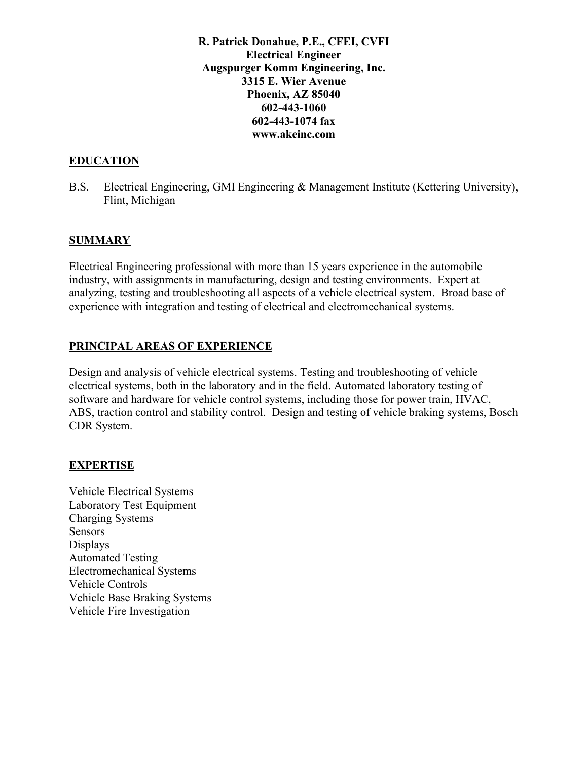**R. Patrick Donahue, P.E., CFEI, CVFI Electrical Engineer Augspurger Komm Engineering, Inc. 3315 E. Wier Avenue Phoenix, AZ 85040 602-443-1060 602-443-1074 fax www.akeinc.com** 

### **EDUCATION**

B.S. Electrical Engineering, GMI Engineering & Management Institute (Kettering University), Flint, Michigan

### **SUMMARY**

Electrical Engineering professional with more than 15 years experience in the automobile industry, with assignments in manufacturing, design and testing environments. Expert at analyzing, testing and troubleshooting all aspects of a vehicle electrical system. Broad base of experience with integration and testing of electrical and electromechanical systems.

### **PRINCIPAL AREAS OF EXPERIENCE**

Design and analysis of vehicle electrical systems. Testing and troubleshooting of vehicle electrical systems, both in the laboratory and in the field. Automated laboratory testing of software and hardware for vehicle control systems, including those for power train, HVAC, ABS, traction control and stability control. Design and testing of vehicle braking systems, Bosch CDR System.

### **EXPERTISE**

Vehicle Electrical Systems Laboratory Test Equipment Charging Systems Sensors Displays Automated Testing Electromechanical Systems Vehicle Controls Vehicle Base Braking Systems Vehicle Fire Investigation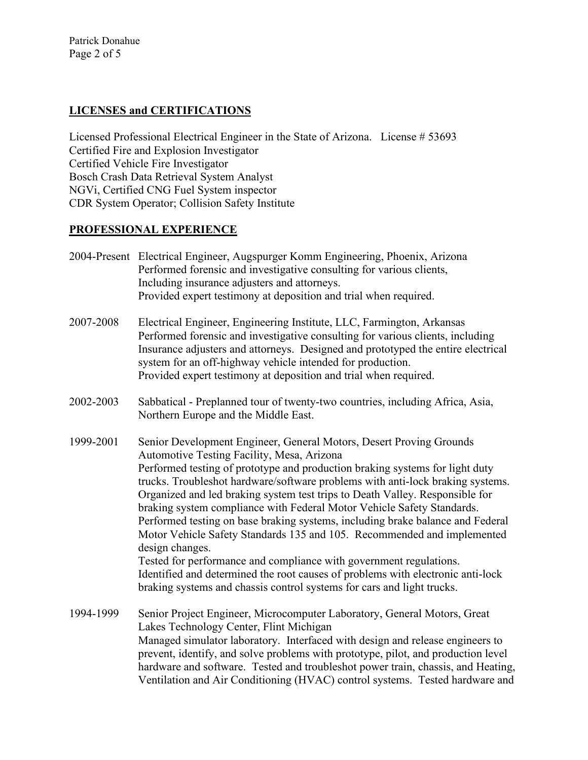Patrick Donahue Page 2 of 5

## **LICENSES and CERTIFICATIONS**

Licensed Professional Electrical Engineer in the State of Arizona. License # 53693 Certified Fire and Explosion Investigator Certified Vehicle Fire Investigator Bosch Crash Data Retrieval System Analyst NGVi, Certified CNG Fuel System inspector CDR System Operator; Collision Safety Institute

# **PROFESSIONAL EXPERIENCE**

- 2004-Present Electrical Engineer, Augspurger Komm Engineering, Phoenix, Arizona Performed forensic and investigative consulting for various clients, Including insurance adjusters and attorneys. Provided expert testimony at deposition and trial when required.
- 2007-2008 Electrical Engineer, Engineering Institute, LLC, Farmington, Arkansas Performed forensic and investigative consulting for various clients, including Insurance adjusters and attorneys. Designed and prototyped the entire electrical system for an off-highway vehicle intended for production. Provided expert testimony at deposition and trial when required.
- 2002-2003 Sabbatical Preplanned tour of twenty-two countries, including Africa, Asia, Northern Europe and the Middle East.
- 1999-2001 Senior Development Engineer, General Motors, Desert Proving Grounds Automotive Testing Facility, Mesa, Arizona Performed testing of prototype and production braking systems for light duty trucks. Troubleshot hardware/software problems with anti-lock braking systems. Organized and led braking system test trips to Death Valley. Responsible for braking system compliance with Federal Motor Vehicle Safety Standards. Performed testing on base braking systems, including brake balance and Federal Motor Vehicle Safety Standards 135 and 105. Recommended and implemented design changes. Tested for performance and compliance with government regulations. Identified and determined the root causes of problems with electronic anti-lock braking systems and chassis control systems for cars and light trucks.
- 1994-1999 Senior Project Engineer, Microcomputer Laboratory, General Motors, Great Lakes Technology Center, Flint Michigan Managed simulator laboratory. Interfaced with design and release engineers to prevent, identify, and solve problems with prototype, pilot, and production level hardware and software. Tested and troubleshot power train, chassis, and Heating, Ventilation and Air Conditioning (HVAC) control systems. Tested hardware and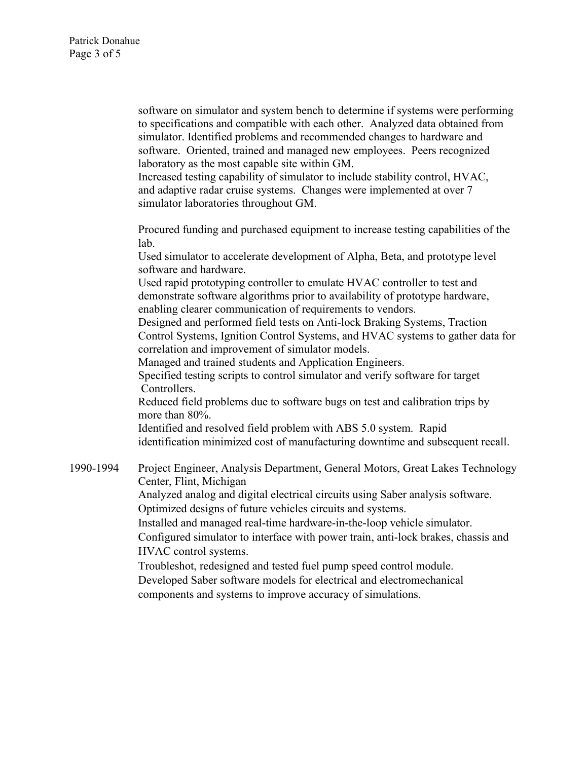software on simulator and system bench to determine if systems were performing to specifications and compatible with each other. Analyzed data obtained from simulator. Identified problems and recommended changes to hardware and software. Oriented, trained and managed new employees. Peers recognized laboratory as the most capable site within GM.

Increased testing capability of simulator to include stability control, HVAC, and adaptive radar cruise systems. Changes were implemented at over 7 simulator laboratories throughout GM.

Procured funding and purchased equipment to increase testing capabilities of the lab.

Used simulator to accelerate development of Alpha, Beta, and prototype level software and hardware.

Used rapid prototyping controller to emulate HVAC controller to test and demonstrate software algorithms prior to availability of prototype hardware, enabling clearer communication of requirements to vendors.

Designed and performed field tests on Anti-lock Braking Systems, Traction Control Systems, Ignition Control Systems, and HVAC systems to gather data for correlation and improvement of simulator models.

Managed and trained students and Application Engineers.

Specified testing scripts to control simulator and verify software for target Controllers.

Reduced field problems due to software bugs on test and calibration trips by more than 80%.

Identified and resolved field problem with ABS 5.0 system. Rapid identification minimized cost of manufacturing downtime and subsequent recall.

1990-1994 Project Engineer, Analysis Department, General Motors, Great Lakes Technology Center, Flint, Michigan Analyzed analog and digital electrical circuits using Saber analysis software. Optimized designs of future vehicles circuits and systems. Installed and managed real-time hardware-in-the-loop vehicle simulator. Configured simulator to interface with power train, anti-lock brakes, chassis and HVAC control systems. Troubleshot, redesigned and tested fuel pump speed control module. Developed Saber software models for electrical and electromechanical

components and systems to improve accuracy of simulations.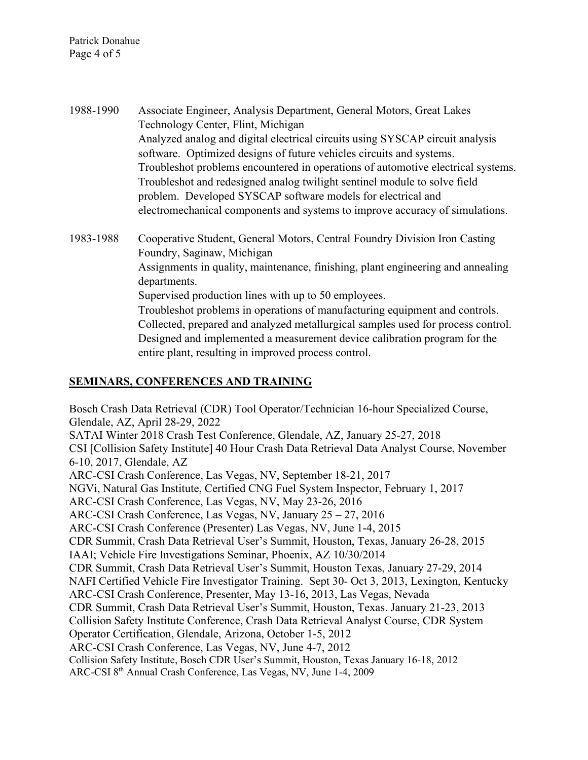Patrick Donahue Page 4 of 5

1988-1990 Associate Engineer, Analysis Department, General Motors, Great Lakes Technology Center, Flint, Michigan Analyzed analog and digital electrical circuits using SYSCAP circuit analysis software. Optimized designs of future vehicles circuits and systems. Troubleshot problems encountered in operations of automotive electrical systems. Troubleshot and redesigned analog twilight sentinel module to solve field problem. Developed SYSCAP software models for electrical and electromechanical components and systems to improve accuracy of simulations.

1983-1988 Cooperative Student, General Motors, Central Foundry Division Iron Casting Foundry, Saginaw, Michigan Assignments in quality, maintenance, finishing, plant engineering and annealing departments. Supervised production lines with up to 50 employees. Troubleshot problems in operations of manufacturing equipment and controls. Collected, prepared and analyzed metallurgical samples used for process control. Designed and implemented a measurement device calibration program for the entire plant, resulting in improved process control.

### **SEMINARS, CONFERENCES AND TRAINING**

Bosch Crash Data Retrieval (CDR) Tool Operator/Technician 16-hour Specialized Course, Glendale, AZ, April 28-29, 2022 SATAI Winter 2018 Crash Test Conference, Glendale, AZ, January 25-27, 2018 CSI [Collision Safety Institute] 40 Hour Crash Data Retrieval Data Analyst Course, November 6-10, 2017, Glendale, AZ ARC-CSI Crash Conference, Las Vegas, NV, September 18-21, 2017 NGVi, Natural Gas Institute, Certified CNG Fuel System Inspector, February 1, 2017 ARC-CSI Crash Conference, Las Vegas, NV, May 23-26, 2016 ARC-CSI Crash Conference, Las Vegas, NV, January 25 – 27, 2016 ARC-CSI Crash Conference (Presenter) Las Vegas, NV, June 1-4, 2015 CDR Summit, Crash Data Retrieval User's Summit, Houston, Texas, January 26-28, 2015 IAAI; Vehicle Fire Investigations Seminar, Phoenix, AZ 10/30/2014 CDR Summit, Crash Data Retrieval User's Summit, Houston Texas, January 27-29, 2014 NAFI Certified Vehicle Fire Investigator Training. Sept 30- Oct 3, 2013, Lexington, Kentucky ARC-CSI Crash Conference, Presenter, May 13-16, 2013, Las Vegas, Nevada CDR Summit, Crash Data Retrieval User's Summit, Houston, Texas. January 21-23, 2013 Collision Safety Institute Conference, Crash Data Retrieval Analyst Course, CDR System Operator Certification, Glendale, Arizona, October 1-5, 2012 ARC-CSI Crash Conference, Las Vegas, NV, June 4-7, 2012 Collision Safety Institute, Bosch CDR User's Summit, Houston, Texas January 16-18, 2012 ARC-CSI 8th Annual Crash Conference, Las Vegas, NV, June 1-4, 2009